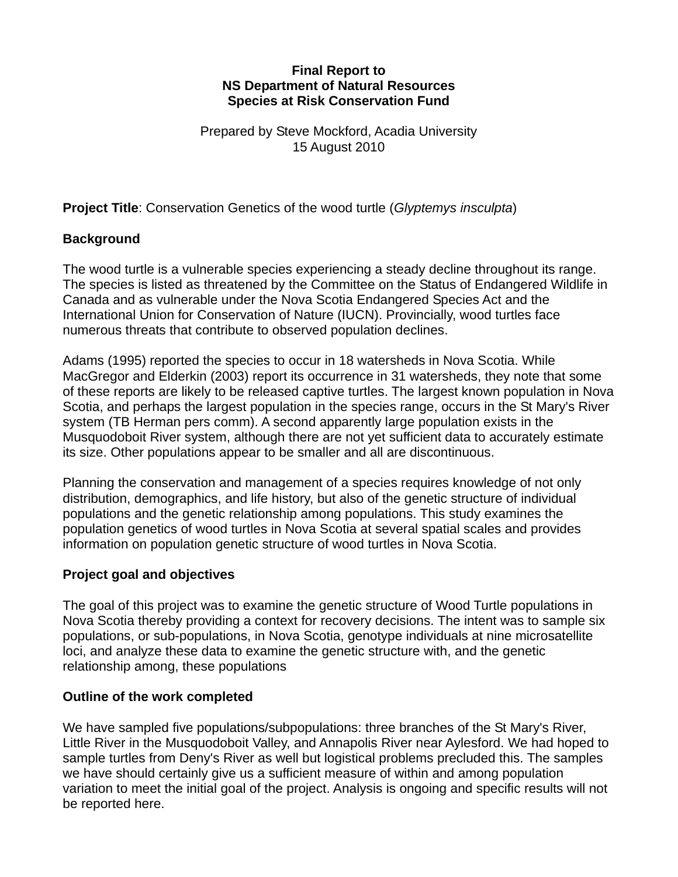#### **Final Report to NS Department of Natural Resources Species at Risk Conservation Fund**

Prepared by Steve Mockford, Acadia University 15 August 2010

**Project Title**: Conservation Genetics of the wood turtle (*Glyptemys insculpta*)

## **Background**

The wood turtle is a vulnerable species experiencing a steady decline throughout its range. The species is listed as threatened by the Committee on the Status of Endangered Wildlife in Canada and as vulnerable under the Nova Scotia Endangered Species Act and the International Union for Conservation of Nature (IUCN). Provincially, wood turtles face numerous threats that contribute to observed population declines.

Adams (1995) reported the species to occur in 18 watersheds in Nova Scotia. While MacGregor and Elderkin (2003) report its occurrence in 31 watersheds, they note that some of these reports are likely to be released captive turtles. The largest known population in Nova Scotia, and perhaps the largest population in the species range, occurs in the St Mary's River system (TB Herman pers comm). A second apparently large population exists in the Musquodoboit River system, although there are not yet sufficient data to accurately estimate its size. Other populations appear to be smaller and all are discontinuous.

Planning the conservation and management of a species requires knowledge of not only distribution, demographics, and life history, but also of the genetic structure of individual populations and the genetic relationship among populations. This study examines the population genetics of wood turtles in Nova Scotia at several spatial scales and provides information on population genetic structure of wood turtles in Nova Scotia.

### **Project goal and objectives**

The goal of this project was to examine the genetic structure of Wood Turtle populations in Nova Scotia thereby providing a context for recovery decisions. The intent was to sample six populations, or sub-populations, in Nova Scotia, genotype individuals at nine microsatellite loci, and analyze these data to examine the genetic structure with, and the genetic relationship among, these populations

### **Outline of the work completed**

We have sampled five populations/subpopulations: three branches of the St Mary's River, Little River in the Musquodoboit Valley, and Annapolis River near Aylesford. We had hoped to sample turtles from Deny's River as well but logistical problems precluded this. The samples we have should certainly give us a sufficient measure of within and among population variation to meet the initial goal of the project. Analysis is ongoing and specific results will not be reported here.